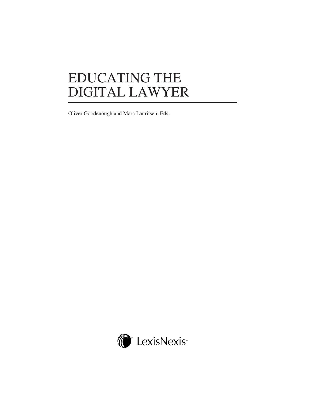# EDUCATING THE DIGITAL LAWYER

Oliver Goodenough and Marc Lauritsen, Eds.

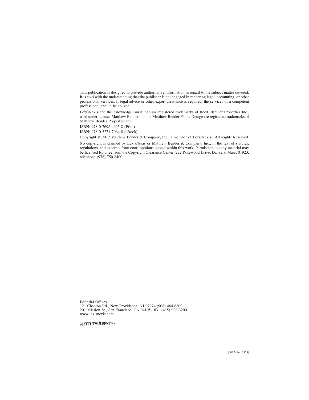This publication is designed to provide authoritative information in regard to the subject matter covered. It is sold with the understanding that the publisher is not engaged in rendering legal, accounting, or other professional services. If legal advice or other expert assistance is required, the services of a competent professional should be sought.

LexisNexis and the Knowledge Burst logo are registered trademarks of Reed Elsevier Properties Inc., used under license. Matthew Bender and the Matthew Bender Flame Design are registered trademarks of Matthew Bender Properties Inc.

ISBN: 978-0-7698-4695-8 (Print)

ISBN: 978-0-3271-7064-8 (eBook)

Copyright © 2012 Matthew Bender & Company, Inc., a member of LexisNexis. All Rights Reserved.

No copyright is claimed by LexisNexis or Matthew Bender & Company, Inc., in the text of statutes, regulations, and excerpts from court opinions quoted within this work. Permission to copy material may be licensed for a fee from the Copyright Clearance Center, 222 Rosewood Drive, Danvers, Mass. 01923, telephone (978) 750-8400.

Editorial Offices 121 Chanlon Rd., New Providence, NJ 07974 (908) 464-6800 201 Mission St., San Francisco, CA 94105-1831 (415) 908-3200 www.lexisnexis.com

MATTHEW<sup>OBENDER</sup>

(2012–Pub.3358)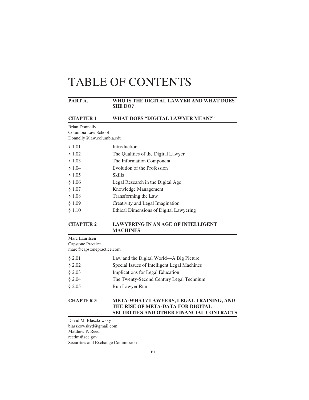#### **PART A. WHO IS THE DIGITAL LAWYER AND WHAT DOES SHE DO?**

#### **CHAPTER 1 WHAT DOES "DIGITAL LAWYER MEAN?"**

Brian Donnelly Columbia Law School Donnelly@law.columbia.edu

| § 1.01 | Introduction                            |
|--------|-----------------------------------------|
| \$1.02 | The Qualities of the Digital Lawyer     |
| § 1.03 | The Information Component               |
| § 1.04 | Evolution of the Profession             |
| § 1.05 | <b>Skills</b>                           |
| § 1.06 | Legal Research in the Digital Age       |
| § 1.07 | Knowledge Management                    |
| \$1.08 | Transforming the Law                    |
| § 1.09 | Creativity and Legal Imagination        |
| § 1.10 | Ethical Dimensions of Digital Lawyering |
|        |                                         |

#### **CHAPTER 2 LAWYERING IN AN AGE OF INTELLIGENT MACHINES**

Marc Lauritsen Capstone Practice marc@capstonepractice.com

| 82.01    | Law and the Digital World—A Big Picture      |
|----------|----------------------------------------------|
| \$2.02\$ | Special Issues of Intelligent Legal Machines |
| 82.03    | Implications for Legal Education             |
| \$2.04   | The Twenty-Second Century Legal Technium     |
| 82.05    | Run Lawyer Run                               |

#### **CHAPTER 3 META-WHAT? LAWYERS, LEGAL TRAINING, AND THE RISE OF META-DATA FOR DIGITAL SECURITIES AND OTHER FINANCIAL CONTRACTS**

David M. Blaszkowsky blaszkowskyd@gmail.com Matthew P. Reed reedm@sec.gov Securities and Exchange Commission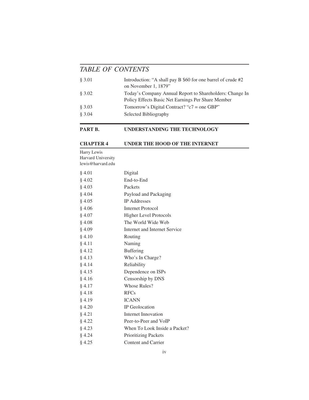| § 3.01<br>on November 1, 1879"                           | Introduction: "A shall pay B \$60 for one barrel of crude #2                                                   |
|----------------------------------------------------------|----------------------------------------------------------------------------------------------------------------|
| § 3.02                                                   | Today's Company Annual Report to Shareholders: Change In<br>Policy Effects Basic Net Earnings Per Share Member |
| § 3.03<br>Tomorrow's Digital Contract? " $c7$ = one GBP" |                                                                                                                |
| \$3.04<br>Selected Bibliography                          |                                                                                                                |

#### **PART B. UNDERSTANDING THE TECHNOLOGY**

#### **CHAPTER 4 UNDER THE HOOD OF THE INTERNET**

Harry Lewis Harvard University lewis@harvard.edu

| § 4.01 | Digital                       |
|--------|-------------------------------|
| 84.02  | End-to-End                    |
| § 4.03 | Packets                       |
| § 4.04 | Payload and Packaging         |
| § 4.05 | <b>IP</b> Addresses           |
| § 4.06 | <b>Internet Protocol</b>      |
| § 4.07 | <b>Higher Level Protocols</b> |
| § 4.08 | The World Wide Web            |
| § 4.09 | Internet and Internet Service |
| § 4.10 | Routing                       |
| § 4.11 | Naming                        |
| § 4.12 | <b>Buffering</b>              |
| § 4.13 | Who's In Charge?              |
| § 4.14 | Reliability                   |
| § 4.15 | Dependence on ISPs            |
| § 4.16 | Censorship by DNS             |
| § 4.17 | Whose Rules?                  |
| § 4.18 | <b>RFCs</b>                   |
| § 4.19 | <b>ICANN</b>                  |
| § 4.20 | <b>IP</b> Geolocation         |
| § 4.21 | Internet Innovation           |
| § 4.22 | Peer-to-Peer and VoIP         |
| § 4.23 | When To Look Inside a Packet? |
| § 4.24 | <b>Prioritizing Packets</b>   |
| § 4.25 | <b>Content and Carrier</b>    |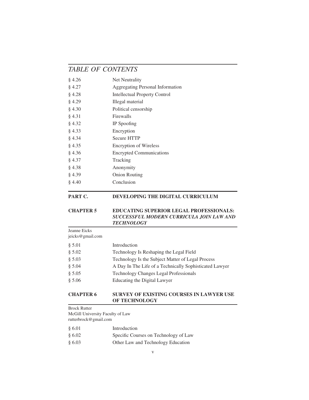| 84.26  | Net Neutrality                          |
|--------|-----------------------------------------|
| § 4.27 | <b>Aggregating Personal Information</b> |
| § 4.28 | <b>Intellectual Property Control</b>    |
| 84.29  | Illegal material                        |
| § 4.30 | Political censorship                    |
| § 4.31 | Firewalls                               |
| § 4.32 | IP Spoofing                             |
| \$4.33 | Encryption                              |
| § 4.34 | <b>Secure HTTP</b>                      |
| § 4.35 | <b>Encryption of Wireless</b>           |
| 84.36  | <b>Encrypted Communications</b>         |
| § 4.37 | Tracking                                |
| § 4.38 | Anonymity                               |
| \$4.39 | <b>Onion Routing</b>                    |
| § 4.40 | Conclusion                              |

#### **PART C. DEVELOPING THE DIGITAL CURRICULUM**

#### **CHAPTER 5 EDUCATING SUPERIOR LEGAL PROFESSIONALS:** *SUCCESSFUL MODERN CURRICULA JOIN LAW AND TECHNOLOGY*

Jeanne Eicks

jeicks@gmail.com § 5.01 Introduction § 5.02 Technology Is Reshaping the Legal Field § 5.03 Technology Is the Subject Matter of Legal Process § 5.04 A Day In The Life of a Technically Sophisticated Lawyer § 5.05 Technology Changes Legal Professionals § 5.06 Educating the Digital Lawyer

#### **CHAPTER 6 SURVEY OF EXISTING COURSES IN LAWYER USE OF TECHNOLOGY**

Brock Rutter McGill University Faculty of Law rutterbrock@gmail.com

| \$6.01   | Introduction                          |
|----------|---------------------------------------|
| \$6.02\$ | Specific Courses on Technology of Law |
| \$6.03\$ | Other Law and Technology Education    |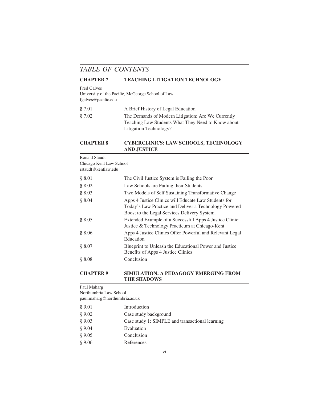#### **CHAPTER 7 TEACHING LITIGATION TECHNOLOGY**

#### Fred Galves

University of the Pacific, McGeorge School of Law fgalves@pacific.edu

| \$7.01 | A Brief History of Legal Education                 |
|--------|----------------------------------------------------|
| \$7.02 | The Demands of Modern Litigation: Are We Currently |
|        | Teaching Law Students What They Need to Know about |
|        | Litigation Technology?                             |

#### **CHAPTER 8 CYBERCLINICS: LAW SCHOOLS, TECHNOLOGY AND JUSTICE**

Ronald Staudt

Chicago Kent Law School

rstaudt@kentlaw.edu

| § 8.01 | The Civil Justice System is Failing the Poor                                                                                                                  |
|--------|---------------------------------------------------------------------------------------------------------------------------------------------------------------|
| § 8.02 | Law Schools are Failing their Students                                                                                                                        |
| § 8.03 | Two Models of Self Sustaining Transformative Change                                                                                                           |
| 8.04   | Apps 4 Justice Clinics will Educate Law Students for<br>Today's Law Practice and Deliver a Technology Powered<br>Boost to the Legal Services Delivery System. |
| § 8.05 | Extended Example of a Successful Apps 4 Justice Clinic:<br>Justice & Technology Practicum at Chicago-Kent                                                     |
| § 8.06 | Apps 4 Justice Clinics Offer Powerful and Relevant Legal<br>Education                                                                                         |
| § 8.07 | Blueprint to Unleash the Educational Power and Justice<br>Benefits of Apps 4 Justice Clinics                                                                  |
| § 8.08 | Conclusion                                                                                                                                                    |
|        |                                                                                                                                                               |

#### **CHAPTER 9 SIMULATION: A PEDAGOGY EMERGING FROM THE SHADOWS**

Paul Maharg

Northumbria Law School

paul.maharg@northumbria.ac.uk

| § 9.01 | Introduction                                    |
|--------|-------------------------------------------------|
| § 9.02 | Case study background                           |
| § 9.03 | Case study 1: SIMPLE and transactional learning |
| § 9.04 | Evaluation                                      |
| § 9.05 | Conclusion                                      |
| § 9.06 | References                                      |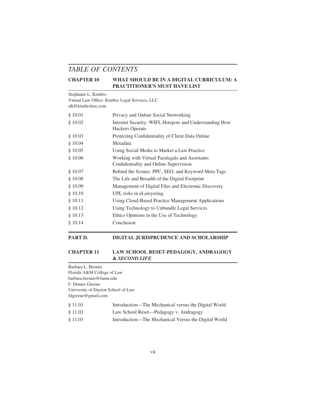#### **CHAPTER 10 WHAT SHOULD BE IN A DIGITAL CURRICULUM: A PRACTITIONER'S MUST HAVE LIST**

#### Stephanie L. Kimbro

Virtual Law Office: Kimbro Legal Services, LLC

slk@kimbrolaw.com

| \$10.01 | Privacy and Online Social Networking                                              |
|---------|-----------------------------------------------------------------------------------|
| \$10.02 | Internet Security: WIFI, Hotspots and Understanding How<br><b>Hackers Operate</b> |
| \$10.03 | Protecting Confidentiality of Client Data Online                                  |
| \$10.04 | Metadata                                                                          |
| \$10.05 | Using Social Media to Market a Law Practice                                       |
| \$10.06 | Working with Virtual Paralegals and Assistants:                                   |
|         | Confidentiality and Online Supervision                                            |
| \$10.07 | Behind the Scenes: PPC, SEO, and Keyword Meta Tags                                |
| \$10.08 | The Life and Breadth of the Digital Footprint                                     |
| \$10.09 | Management of Digital Files and Electronic Discovery                              |
| \$10.10 | UPL risks in eLawyering                                                           |
| § 10.11 | Using Cloud-Based Practice Management Applications                                |
| \$10.12 | Using Technology to Unbundle Legal Services                                       |
| §10.13  | Ethics Opinions in the Use of Technology                                          |
| \$10.14 | Conclusion                                                                        |
|         |                                                                                   |

#### **PART D. DIGITAL JURISPRUDENCE AND SCHOLARSHIP**

#### **CHAPTER 11 LAW SCHOOL RESET-PEDAGOGY, ANDRAGOGY &** *SECOND LIFE*

Barbara L. Bernier Florida A&M College of Law barbara.bernier@famu.edu F. Dennis Greene University of Dayton School of Law fdgreene@gmail.com

| Introduction—The Mechanical versus the Digital World<br>§ 11.01 |  |
|-----------------------------------------------------------------|--|
|-----------------------------------------------------------------|--|

- § 11.02 Law School Reset—Pedagogy v. Andragogy
- § 11.03 Introduction—The Mechanical Versus the Digital World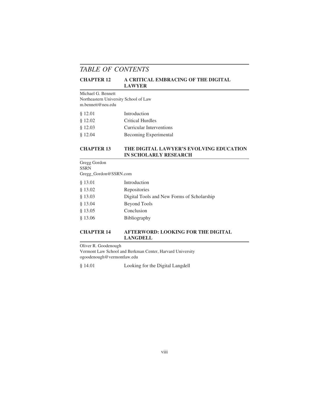#### **CHAPTER 12 A CRITICAL EMBRACING OF THE DIGITAL LAWYER**

#### Michael G. Bennett

Northeastern University School of Law m.bennett@neu.edu

| § 12.01 | Introduction                 |
|---------|------------------------------|
| \$12.02 | Critical Hurdles             |
| § 12.03 | Curricular Interventions     |
| \$12.04 | <b>Becoming Experimental</b> |

#### **CHAPTER 13 THE DIGITAL LAWYER'S EVOLVING EDUCATION IN SCHOLARLY RESEARCH**

Gregg Gordon SSRN Gregg\_Gordon@SSRN.com

| § 13.01 | Introduction                               |
|---------|--------------------------------------------|
| \$13.02 | Repositories                               |
| § 13.03 | Digital Tools and New Forms of Scholarship |
| § 13.04 | Beyond Tools                               |
| § 13.05 | Conclusion                                 |
| \$13.06 | <b>Bibliography</b>                        |

#### **CHAPTER 14 AFTERWORD: LOOKING FOR THE DIGITAL LANGDELL**

Oliver R. Goodenough

Vermont Law School and Berkman Center, Harvard University ogoodenough@vermontlaw.edu

§ 14.01 Looking for the Digital Langdell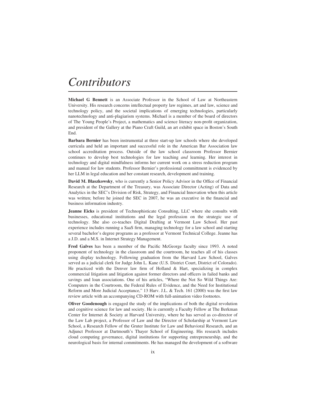## *Contributors*

**Michael G Bennett** is an Associate Professor in the School of Law at Northeastern University. His research concerns intellectual property law regimes, art and law, science and technology policy, and the societal implications of emerging technologies, particularly nanotechnology and anti-plagiarism systems. Michael is a member of the board of directors of The Young People's Project, a mathematics and science literacy non-profit organization, and president of the Gallery at the Piano Craft Guild, an art exhibit space in Boston's South End.

**Barbara Bernier** has been instrumental at three start-up law schools where she developed curricula and held an important and successful role in the American Bar Association law school accreditation process. Outside of the law school classroom Professor Bernier continues to develop best technologies for law teaching *and* learning. Her interest in technology and digital mindfulness informs her current work on a stress reduction program and manual for law students. Professor Bernier's professional committment is evidenced by her LLM in legal education and her constant research, development and training.

**David M. Blaszkowsky**, who is currently a Senior Policy Advisor in the Office of Financial Research at the Department of the Treasury, was Associate Director (Acting) of Data and Analytics in the SEC's Division of Risk, Strategy, and Financial Innovation when this article was written; before he joined the SEC in 2007, he was an executive in the financial and business information industry.

**Jeanne Eicks** is president of Technophisticate Consulting, LLC where she consults with businesses, educational institutions and the legal profession on the strategic use of technology. She also co-teaches Digital Drafting at Vermont Law School. Her past experience includes running a SaaS firm, managing technology for a law school and starting several bachelor's degree programs as a professor at Vermont Technical College. Jeanne has a J.D. and a M.S. in Internet Strategy Management.

**Fred Galves** has been a member of the Pacific McGeorge faculty since 1993. A noted proponent of technology in the classroom and the courtroom, he teaches all of his classes using display technology. Following graduation from the Harvard Law School, Galves served as a judicial clerk for Judge John L. Kane (U.S. District Court, District of Colorado). He practiced with the Denver law firm of Holland  $\&$  Hart, specializing in complex commercial litigation and litigation against former directors and officers in failed banks and savings and loan associations. One of his articles, "Where the Not So Wild Things Are: Computers in the Courtroom, the Federal Rules of Evidence, and the Need for Institutional Reform and More Judicial Acceptance," 13 Harv. J.L. & Tech. 161 (2000) was the first law review article with an accompanying CD-ROM with full-animation video footnotes.

**Oliver Goodenough** is engaged the study of the implications of both the digital revolution and cognitive science for law and society. He is currently a Faculty Fellow at The Berkman Center for Internet & Society at Harvard University, where he has served as co-director of the Law Lab project, a Professor of Law and the Director of Scholarship at Vermont Law School, a Research Fellow of the Gruter Institute for Law and Behavioral Research, and an Adjunct Professor at Dartmouth's Thayer School of Engineering. His research includes cloud computing governance, digital institutions for supporting entrepreneurship, and the neurological basis for internal commitments. He has managed the development of a software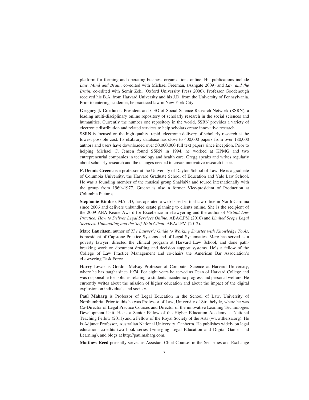platform for forming and operating business organizations online. His publications include *Law, Mind and Brain*, co-edited with Michael Freeman, (Ashgate 2009) and *Law and the Brain*, co-edited with Semir Zeki (Oxford University Press 2006). Professor Goodenough received his B.A. from Harvard University and his J.D. from the University of Pennsylvania. Prior to entering academia, he practiced law in New York City.

**Gregory J. Gordon** is President and CEO of Social Science Research Network (SSRN), a leading multi-disciplinary online repository of scholarly research in the social sciences and humanities. Currently the number one repository in the world, SSRN provides a variety of electronic distribution and related services to help scholars create innovative research.

SSRN is focused on the high quality, rapid, electronic delivery of scholarly research at the lowest possible cost. Its eLibrary database has close to 400,000 papers from over 180,000 authors and users have downloaded over 50,000,000 full text papers since inception. Prior to helping Michael C. Jensen found SSRN in 1994, he worked at KPMG and two entrepreneurial companies in technology and health care. Gregg speaks and writes regularly about scholarly research and the changes needed to create innovative research faster.

**F. Dennis Greene** is a professor at the University of Dayton School of Law. He is a graduate of Columbia University, the Harvard Graduate School of Education and Yale Law School. He was a founding member of the musical group ShaNaNa and toured internationally with the group from 1969–1977. Greene is also a former Vice-president of Production at Columbia Pictures.

**Stephanie Kimbro**, MA, JD, has operated a web-based virtual law office in North Carolina since 2006 and delivers unbundled estate planning to clients online. She is the recipient of the 2009 ABA Keane Award for Excellence in eLawyering and the author of *Virtual Law Practice: How to Deliver Legal Services Online*, ABA/LPM (2010) and *Limited Scope Legal Services: Unbundling and the Self-Help Client*, ABA/LPM (2012).

**Marc Lauritsen**, author of *The Lawyer's Guide to Working Smarter with Knowledge Tools*, is president of Capstone Practice Systems and of Legal Systematics. Marc has served as a poverty lawyer, directed the clinical program at Harvard Law School, and done pathbreaking work on document drafting and decision support systems. He's a fellow of the College of Law Practice Management and co-chairs the American Bar Association's eLawyering Task Force.

**Harry Lewis** is Gordon McKay Professor of Computer Science at Harvard University, where he has taught since 1974. For eight years he served as Dean of Harvard College and was responsible for policies relating to students' academic progress and personal welfare. He currently writes about the mission of higher education and about the impact of the digital explosion on individuals and society.

**Paul Maharg** is Professor of Legal Education in the School of Law, University of Northumbria. Prior to this he was Professor of Law, University of Strathclyde, where he was Co-Director of Legal Practice Courses and Director of the innovative Learning Technologies Development Unit. He is a Senior Fellow of the Higher Education Academy, a National Teaching Fellow (2011) and a Fellow of the Royal Society of the Arts (www.thersa.org). He is Adjunct Professor, Australian National University, Canberra. He publishes widely on legal education, co-edits two book series (Emerging Legal Education and Digital Games and Learning), and blogs at http://paulmaharg.com.

**Matthew Reed** presently serves as Assistant Chief Counsel in the Securities and Exchange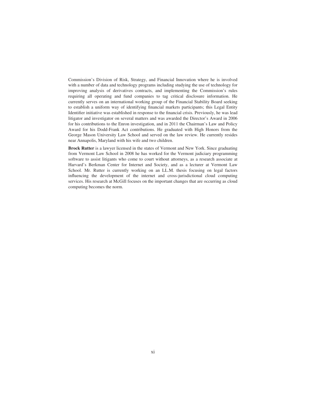Commission's Division of Risk, Strategy, and Financial Innovation where he is involved with a number of data and technology programs including studying the use of technology for improving analysis of derivatives contracts, and implementing the Commission's rules requiring all operating and fund companies to tag critical disclosure information. He currently serves on an international working group of the Financial Stability Board seeking to establish a uniform way of identifying financial markets participants; this Legal Entity Identifier initiative was established in response to the financial crisis. Previously, he was lead litigator and investigator on several matters and was awarded the Director's Award in 2006 for his contributions to the Enron investigation, and in 2011 the Chairman's Law and Policy Award for his Dodd-Frank Act contributions. He graduated with High Honors from the George Mason University Law School and served on the law review. He currently resides near Annapolis, Maryland with his wife and two children.

**Brock Rutter** is a lawyer licensed in the states of Vermont and New York. Since graduating from Vermont Law School in 2008 he has worked for the Vermont judiciary programming software to assist litigants who come to court without attorneys, as a research associate at Harvard's Berkman Center for Internet and Society, and as a lecturer at Vermont Law School. Mr. Rutter is currently working on an LL.M. thesis focusing on legal factors influencing the development of the internet and cross-jurisdictional cloud computing services. His research at McGill focuses on the important changes that are occurring as cloud computing becomes the norm.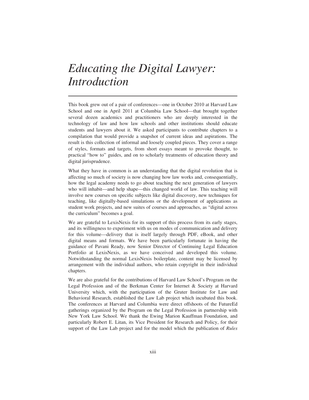This book grew out of a pair of conferences—one in October 2010 at Harvard Law School and one in April 2011 at Columbia Law School—that brought together several dozen academics and practitioners who are deeply interested in the technology of law and how law schools and other institutions should educate students and lawyers about it. We asked participants to contribute chapters to a compilation that would provide a snapshot of current ideas and aspirations. The result is this collection of informal and loosely coupled pieces. They cover a range of styles, formats and targets, from short essays meant to provoke thought, to practical "how to" guides, and on to scholarly treatments of education theory and digital jurisprudence.

What they have in common is an understanding that the digital revolution that is affecting so much of society is now changing how law works and, consequentially, how the legal academy needs to go about teaching the next generation of lawyers who will inhabit—and help shape—this changed world of law. This teaching will involve new courses on specific subjects like digital discovery, new techniques for teaching, like digitally-based simulations or the development of applications as student work projects, and new suites of courses and approaches, as "digital across the curriculum" becomes a goal.

We are grateful to LexisNexis for its support of this process from its early stages, and its willingness to experiment with us on modes of communication and delivery for this volume—delivery that is itself largely through PDF, eBook, and other digital means and formats. We have been particularly fortunate in having the guidance of Pavani Ready, now Senior Director of Continuing Legal Education Portfolio at LexisNexis, as we have conceived and developed this volume. Notwithstanding the normal LexisNexis boilerplate, content may be licensed by arrangement with the individual authors, who retain copyright in their individual chapters.

We are also grateful for the contributions of Harvard Law School's Program on the Legal Profession and of the Berkman Center for Internet & Society at Harvard University which, with the participation of the Gruter Institute for Law and Behavioral Research, established the Law Lab project which incubated this book. The conferences at Harvard and Columbia were direct offshoots of the FutureEd gatherings organized by the Program on the Legal Profession in partnership with New York Law School. We thank the Ewing Marion Kauffman Foundation, and particularly Robert E. Litan, its Vice President for Research and Policy, for their support of the Law Lab project and for the model which the publication of *Rules*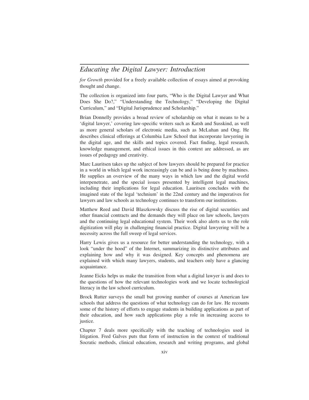*for Growth* provided for a freely available collection of essays aimed at provoking thought and change.

The collection is organized into four parts, "Who is the Digital Lawyer and What Does She Do?," "Understanding the Technology," "Developing the Digital Curriculum," and "Digital Jurisprudence and Scholarship."

Brian Donnelly provides a broad review of scholarship on what it means to be a 'digital lawyer,' covering law-specific writers such as Katsh and Susskind, as well as more general scholars of electronic media, such as McLuhan and Ong. He describes clinical offerings at Columbia Law School that incorporate lawyering in the digital age, and the skills and topics covered. Fact finding, legal research, knowledge management, and ethical issues in this context are addressed, as are issues of pedagogy and creativity.

Marc Lauritsen takes up the subject of how lawyers should be prepared for practice in a world in which legal work increasingly can be and is being done by machines. He supplies an overview of the many ways in which law and the digital world interpenetrate, and the special issues presented by intelligent legal machines, including their implications for legal education. Lauritsen concludes with the imagined state of the legal 'technium' in the 22nd century and the imperatives for lawyers and law schools as technology continues to transform our institutions.

Matthew Reed and David Blaszkowsky discuss the rise of digital securities and other financial contracts and the demands they will place on law schools, lawyers and the continuing legal educational system. Their work also alerts us to the role digitization will play in challenging financial practice. Digital lawyering will be a necessity across the full sweep of legal services.

Harry Lewis gives us a resource for better understanding the technology, with a look "under the hood" of the Internet, summarizing its distinctive attributes and explaining how and why it was designed. Key concepts and phenomena are explained with which many lawyers, students, and teachers only have a glancing acquaintance.

Jeanne Eicks helps us make the transition from what a digital lawyer is and does to the questions of how the relevant technologies work and we locate technological literacy in the law school curriculum.

Brock Rutter surveys the small but growing number of courses at American law schools that address the questions of what technology can do for law. He recounts some of the history of efforts to engage students in building applications as part of their education, and how such applications play a role in increasing access to justice.

Chapter 7 deals more specifically with the teaching of technologies used in litigation. Fred Galves puts that form of instruction in the context of traditional Socratic methods, clinical education, research and writing programs, and global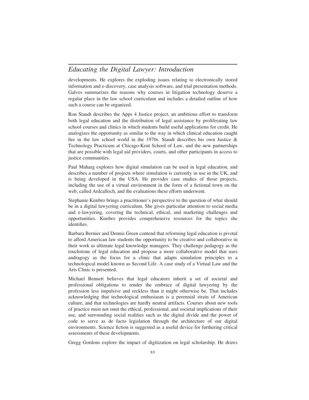developments. He explores the exploding issues relating to electronically stored information and e-discovery, case analysis software, and trial presentation methods. Galves summarizes the reasons why courses in litigation technology deserve a regular place in the law school curriculum and includes a detailed outline of how such a course can be organized.

Ron Staudt describes the Apps 4 Justice project, an ambitious effort to transform both legal education and the distribution of legal assistance by proliferating law school courses and clinics in which students build useful applications for credit. He analogizes the opportunity as similar to the way in which clinical education caught fire in the law school world in the 1970s. Staudt describes his own Justice & Technology Practicum at Chicago-Kent School of Law, and the new partnerships that are possible with legal aid providers, courts, and other participants in access to justice communities.

Paul Maharg explores how digital simulation can be used in legal education, and describes a number of projects where simulation is currently in use in the UK, and is being developed in the USA. He provides case studies of those projects, including the use of a virtual environment in the form of a fictional town on the web, called Ardcalloch, and the evaluations these efforts underwent.

Stephanie Kimbro brings a practitioner's perspective to the question of what should be in a digital lawyering curriculum. She gives particular attention to social media and e-lawyering, covering the technical, ethical, and marketing challenges and opportunities. Kimbro provides comprehensive resources for the topics she identifies.

Barbara Bernier and Dennis Green contend that reforming legal education is pivotal to afford American law students the opportunity to be creative and collaborative in their work as ultimate legal knowledge managers. They challenge pedagogy as the touchstone of legal education and propose a more collaborative model that uses andragogy as the focus for a clinic that adapts simulation principles to a technological model known as Second Life. A case study of a Virtual Law and the Arts Clinic is presented.

Michael Bennett believes that legal educators inherit a set of societal and professional obligations to render the embrace of digital lawyering by the profession less impulsive and reckless than it might otherwise be. That includes acknowledging that technological enthusiasm is a perennial strain of American culture, and that technologies are hardly neutral artifacts. Courses about new tools of practice must not omit the ethical, professional, and societal implications of their use, and surrounding social realities such as the digital divide and the power of code to serve as de facto legislation through the architecture of our digital environments. Science fiction is suggested as a useful device for furthering critical assessments of these developments.

Gregg Gordons explore the impact of digitization on legal scholarship. He draws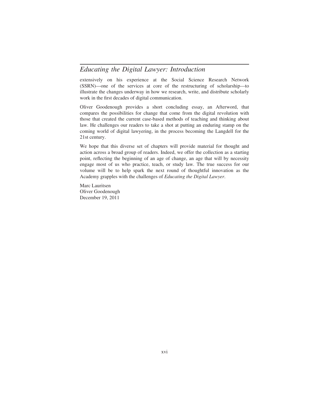extensively on his experience at the Social Science Research Network (SSRN)—one of the services at core of the restructuring of scholarship—to illustrate the changes underway in how we research, write, and distribute scholarly work in the first decades of digital communication.

Oliver Goodenough provides a short concluding essay, an Afterword, that compares the possibilities for change that come from the digital revolution with those that created the current case-based methods of teaching and thinking about law. He challenges our readers to take a shot at putting an enduring stamp on the coming world of digital lawyering, in the process becoming the Langdell for the 21st century.

We hope that this diverse set of chapters will provide material for thought and action across a broad group of readers. Indeed, we offer the collection as a starting point, reflecting the beginning of an age of change, an age that will by necessity engage most of us who practice, teach, or study law. The true success for our volume will be to help spark the next round of thoughtful innovation as the Academy grapples with the challenges of *Educating the Digital Lawyer*.

Marc Lauritsen Oliver Goodenough December 19, 2011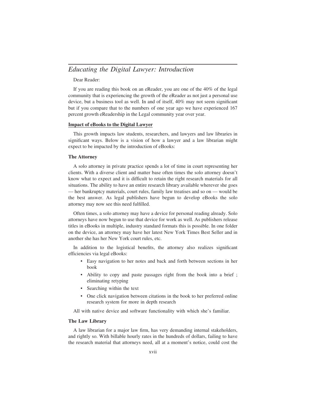Dear Reader:

If you are reading this book on an eReader, you are one of the 40% of the legal community that is experiencing the growth of the eReader as not just a personal use device, but a business tool as well. In and of itself, 40% may not seem significant but if you compare that to the numbers of one year ago we have experienced 167 percent growth eReadership in the Legal community year over year.

#### **Impact of eBooks to the Digital Lawyer**

This growth impacts law students, researchers, and lawyers and law libraries in significant ways. Below is a vision of how a lawyer and a law librarian might expect to be impacted by the introduction of eBooks:

#### **The Attorney**

A solo attorney in private practice spends a lot of time in court representing her clients. With a diverse client and matter base often times the solo attorney doesn't know what to expect and it is difficult to retain the right research materials for all situations. The ability to have an entire research library available wherever she goes — her bankruptcy materials, court rules, family law treatises and so on — would be the best answer. As legal publishers have begun to develop eBooks the solo attorney may now see this need fulfilled.

Often times, a solo attorney may have a device for personal reading already. Solo attorneys have now begun to use that device for work as well. As publishers release titles in eBooks in multiple, industry standard formats this is possible. In one folder on the device, an attorney may have her latest New York Times Best Seller and in another she has her New York court rules, etc.

In addition to the logistical benefits, the attorney also realizes significant efficiencies via legal eBooks:

- Easy navigation to her notes and back and forth between sections in her book
- Ability to copy and paste passages right from the book into a brief ; eliminating retyping
- Searching within the text
- One click navigation between citations in the book to her preferred online research system for more in depth research

All with native device and software functionality with which she's familiar.

#### **The Law Library**

A law librarian for a major law firm, has very demanding internal stakeholders, and rightly so. With billable hourly rates in the hundreds of dollars, failing to have the research material that attorneys need, all at a moment's notice, could cost the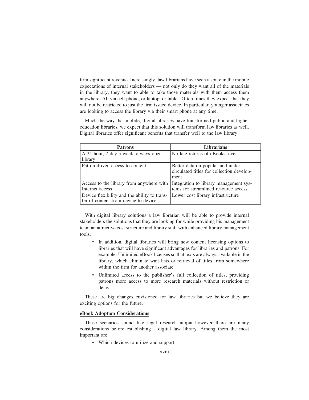firm significant revenue. Increasingly, law librarians have seen a spike in the mobile expectations of internal stakeholders — not only do they want all of the materials in the library, they want to able to take those materials with them access them anywhere. All via cell phone, or laptop, or tablet. Often times they expect that they will not be restricted to just the firm issued device. In particular, younger associates are looking to access the library via their smart phone at any time.

Much the way that mobile, digital libraries have transformed public and higher education libraries, we expect that this solution will transform law libraries as well. Digital libraries offer significant benefits that transfer well to the law library:

| <b>Patrons</b>                                                                       | <b>Librarians</b>                                                                      |
|--------------------------------------------------------------------------------------|----------------------------------------------------------------------------------------|
| A 24 hour, 7 day a week, always open<br>library                                      | No late returns of eBooks, ever                                                        |
| Patron driven access to content                                                      | Better data on popular and under-<br>circulated titles for collection develop-<br>ment |
| Access to the library from anywhere with<br>Internet access                          | Integration to library management sys-<br>tems for streamlined resource access         |
| Device flexibility and the ability to trans-<br>fer of content from device to device | Lower cost library infrastructure                                                      |

With digital library solutions a law librarian will be able to provide internal stakeholders the solutions that they are looking for while providing his management team an attractive cost structure and library staff with enhanced library management tools.

- In addition, digital libraries will bring new content licensing options to libraries that will have significant advantages for libraries and patrons. For example: Unlimited eBook licenses so that texts are always available in the library, which eliminate wait lists or retrieval of titles from somewhere within the firm for another associate
- Unlimited access to the publisher's full collection of titles, providing patrons more access to more research materials without restriction or delay.

These are big changes envisioned for law libraries but we believe they are exciting options for the future.

#### **eBook Adoption Considerations**

These scenarios sound like legal research utopia however there are many considerations before establishing a digital law library. Among them the most important are:

• Which devices to utilize and support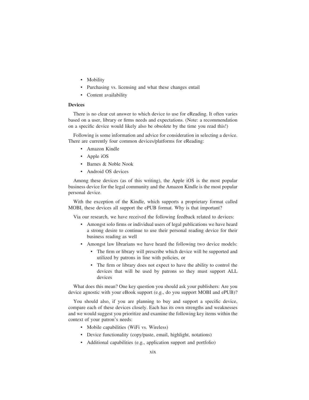- Mobility
- Purchasing vs. licensing and what these changes entail
- Content availability

#### **Devices**

There is no clear cut answer to which device to use for eReading. It often varies based on a user, library or firms needs and expectations. (Note: a recommendation on a specific device would likely also be obsolete by the time you read this!)

Following is some information and advice for consideration in selecting a device. There are currently four common devices/platforms for eReading:

- Amazon Kindle
- Apple iOS
- Barnes & Noble Nook
- Android OS devices

Among these devices (as of this writing), the Apple iOS is the most popular business device for the legal community and the Amazon Kindle is the most popular personal device.

With the exception of the Kindle, which supports a proprietary format called MOBI, these devices all support the ePUB format. Why is that important?

Via our research, we have received the following feedback related to devices:

- Amongst solo firms or individual users of legal publications we have heard a strong desire to continue to use their personal reading device for their business reading as well
- Amongst law librarians we have heard the following two device models:
	- The firm or library will prescribe which device will be supported and utilized by patrons in line with policies, or
	- The firm or library does not expect to have the ability to control the devices that will be used by patrons so they must support ALL devices

What does this mean? One key question you should ask your publishers: Are you device agnostic with your eBook support (e.g., do you support MOBI and ePUB)?

You should also, if you are planning to buy and support a specific device, compare each of these devices closely. Each has its own strengths and weaknesses and we would suggest you prioritize and examine the following key items within the context of your patron's needs:

- Mobile capabilities (WiFi vs. Wireless)
- Device functionality (copy/paste, email, highlight, notations)
- Additional capabilities (e.g., application support and portfolio)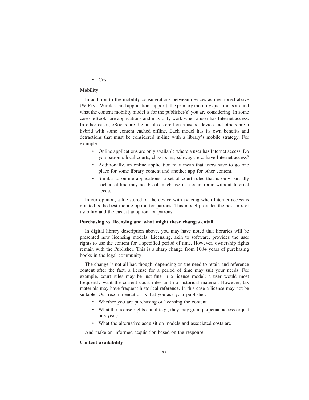#### • Cost

#### **Mobility**

In addition to the mobility considerations between devices as mentioned above (WiFi vs. Wireless and application support), the primary mobility question is around what the content mobility model is for the publisher(s) you are considering. In some cases, eBooks are applications and may only work when a user has Internet access. In other cases, eBooks are digital files stored on a users' device and others are a hybrid with some content cached offline. Each model has its own benefits and detractions that must be considered in-line with a library's mobile strategy. For example:

- Online applications are only available where a user has Internet access. Do you patron's local courts, classrooms, subways, etc. have Internet access?
- Additionally, an online application may mean that users have to go one place for some library content and another app for other content.
- Similar to online applications, a set of court rules that is only partially cached offline may not be of much use in a court room without Internet access.

In our opinion, a file stored on the device with syncing when Internet access is granted is the best mobile option for patrons. This model provides the best mix of usability and the easiest adoption for patrons.

#### **Purchasing vs. licensing and what might these changes entail**

In digital library description above, you may have noted that libraries will be presented new licensing models. Licensing, akin to software, provides the user rights to use the content for a specified period of time. However, ownership rights remain with the Publisher. This is a sharp change from 100+ years of purchasing books in the legal community.

The change is not all bad though, depending on the need to retain and reference content after the fact, a license for a period of time may suit your needs. For example, court rules may be just fine in a license model; a user would most frequently want the current court rules and no historical material. However, tax materials may have frequent historical reference. In this case a license may not be suitable. Our recommendation is that you ask your publisher:

- Whether you are purchasing or licensing the content
- What the license rights entail (e.g., they may grant perpetual access or just one year)
- What the alternative acquisition models and associated costs are

And make an informed acquisition based on the response.

#### **Content availability**